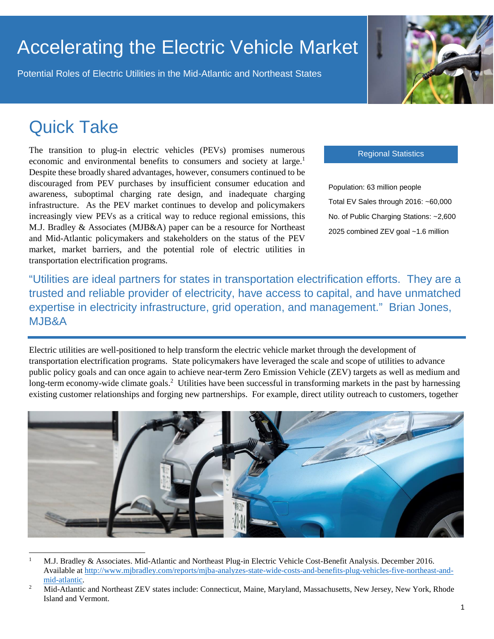# Accelerating the Electric Vehicle Market

Potential Roles of Electric Utilities in the Mid-Atlantic and Northeast States



## Quick Take

The transition to plug-in electric vehicles (PEVs) promises numerous economic and environmental benefits to consumers and society at large.<sup>1</sup> Despite these broadly shared advantages, however, consumers continued to be discouraged from PEV purchases by insufficient consumer education and awareness, suboptimal charging rate design, and inadequate charging infrastructure. As the PEV market continues to develop and policymakers increasingly view PEVs as a critical way to reduce regional emissions, this M.J. Bradley & Associates (MJB&A) paper can be a resource for Northeast and Mid-Atlantic policymakers and stakeholders on the status of the PEV market, market barriers, and the potential role of electric utilities in transportation electrification programs.

Regional Statistics

Population: 63 million people Total EV Sales through 2016: ~60,000 No. of Public Charging Stations: ~2,600 2025 combined ZEV goal ~1.6 million

"Utilities are ideal partners for states in transportation electrification efforts. They are a trusted and reliable provider of electricity, have access to capital, and have unmatched expertise in electricity infrastructure, grid operation, and management." Brian Jones, MJB&A

Electric utilities are well-positioned to help transform the electric vehicle market through the development of transportation electrification programs. State policymakers have leveraged the scale and scope of utilities to advance public policy goals and can once again to achieve near-term Zero Emission Vehicle (ZEV) targets as well as medium and long-term economy-wide climate goals.<sup>2</sup> Utilities have been successful in transforming markets in the past by harnessing existing customer relationships and forging new partnerships. For example, direct utility outreach to customers, together



<sup>1</sup> M.J. Bradley & Associates. Mid-Atlantic and Northeast Plug-in Electric Vehicle Cost-Benefit Analysis. December 2016. Available at [http://www.mjbradley.com/reports/mjba-analyzes-state-wide-costs-and-benefits-plug-vehicles-five-northeast-and](http://www.mjbradley.com/reports/mjba-analyzes-state-wide-costs-and-benefits-plug-vehicles-five-northeast-and-mid-atlantic)[mid-atlantic.](http://www.mjbradley.com/reports/mjba-analyzes-state-wide-costs-and-benefits-plug-vehicles-five-northeast-and-mid-atlantic)

<sup>2</sup> Mid-Atlantic and Northeast ZEV states include: Connecticut, Maine, Maryland, Massachusetts, New Jersey, New York, Rhode Island and Vermont.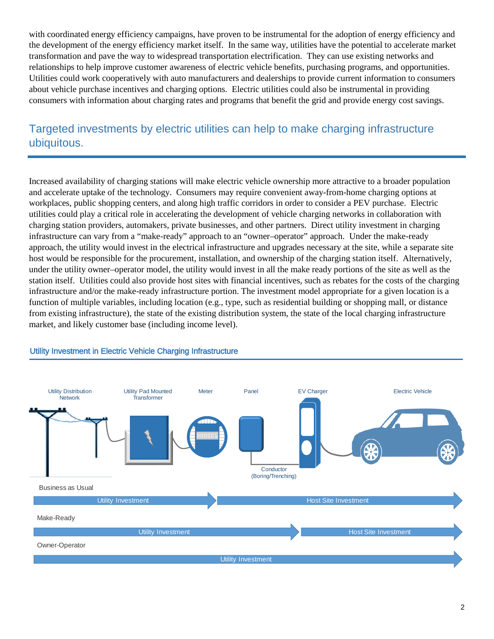with coordinated energy efficiency campaigns, have proven to be instrumental for the adoption of energy efficiency and the development of the energy efficiency market itself. In the same way, utilities have the potential to accelerate market transformation and pave the way to widespread transportation electrification. They can use existing networks and relationships to help improve customer awareness of electric vehicle benefits, purchasing programs, and opportunities. Utilities could work cooperatively with auto manufacturers and dealerships to provide current information to consumers about vehicle purchase incentives and charging options. Electric utilities could also be instrumental in providing consumers with information about charging rates and programs that benefit the grid and provide energy cost savings.

#### Targeted investments by electric utilities can help to make charging infrastructure ubiquitous.

Increased availability of charging stations will make electric vehicle ownership more attractive to a broader population and accelerate uptake of the technology. Consumers may require convenient away-from-home charging options at workplaces, public shopping centers, and along high traffic corridors in order to consider a PEV purchase. Electric utilities could play a critical role in accelerating the development of vehicle charging networks in collaboration with charging station providers, automakers, private businesses, and other partners. Direct utility investment in charging infrastructure can vary from a "make-ready" approach to an "owner–operator" approach. Under the make-ready approach, the utility would invest in the electrical infrastructure and upgrades necessary at the site, while a separate site host would be responsible for the procurement, installation, and ownership of the charging station itself. Alternatively, under the utility owner–operator model, the utility would invest in all the make ready portions of the site as well as the station itself. Utilities could also provide host sites with financial incentives, such as rebates for the costs of the charging infrastructure and/or the make-ready infrastructure portion. The investment model appropriate for a given location is a function of multiple variables, including location (e.g., type, such as residential building or shopping mall, or distance from existing infrastructure), the state of the existing distribution system, the state of the local charging infrastructure market, and likely customer base (including income level).



#### Utility Investment in Electric Vehicle Charging Infrastructure